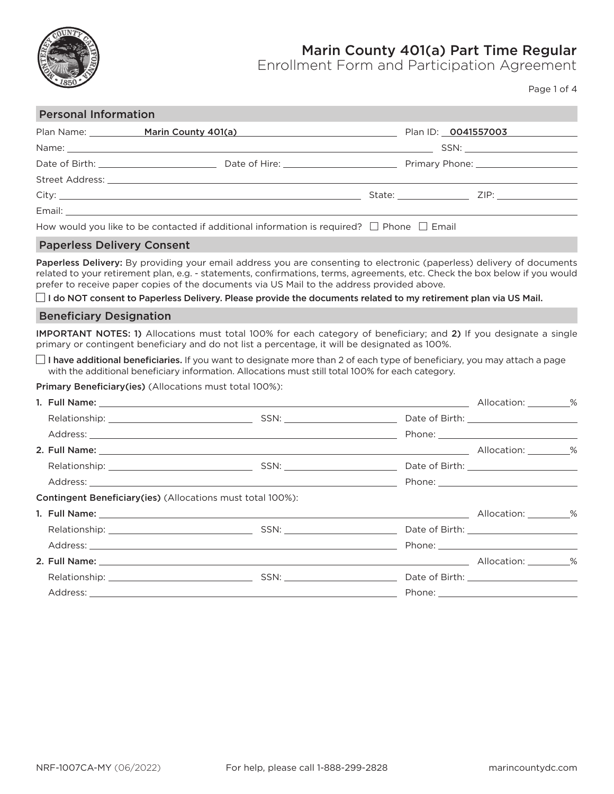

## Marin County 401(a) Part Time Regular

Enrollment Form and Participation Agreement

Page 1 of 4

### Personal Information

|                                                                                                     | Plan Name: Marin County 401(a) | Plan ID: 0041557003 |  |
|-----------------------------------------------------------------------------------------------------|--------------------------------|---------------------|--|
|                                                                                                     |                                |                     |  |
|                                                                                                     |                                |                     |  |
|                                                                                                     |                                |                     |  |
|                                                                                                     |                                | State: ZIP: ZIP:    |  |
|                                                                                                     |                                |                     |  |
| How would you like to be contacted if additional information is required? $\Box$ Phone $\Box$ Email |                                |                     |  |

### Paperless Delivery Consent

Paperless Delivery: By providing your email address you are consenting to electronic (paperless) delivery of documents related to your retirement plan, e.g. - statements, confirmations, terms, agreements, etc. Check the box below if you would prefer to receive paper copies of the documents via US Mail to the address provided above.

 $\Box$  I do NOT consent to Paperless Delivery. Please provide the documents related to my retirement plan via US Mail.

### Beneficiary Designation

IMPORTANT NOTES: 1) Allocations must total 100% for each category of beneficiary; and 2) If you designate a single primary or contingent beneficiary and do not list a percentage, it will be designated as 100%.

 $\Box$  I have additional beneficiaries. If you want to designate more than 2 of each type of beneficiary, you may attach a page with the additional beneficiary information. Allocations must still total 100% for each category.

Primary Beneficiary(ies) (Allocations must total 100%):

|                                                                    |  | Allocation: 3% |  |
|--------------------------------------------------------------------|--|----------------|--|
|                                                                    |  |                |  |
|                                                                    |  |                |  |
|                                                                    |  |                |  |
|                                                                    |  |                |  |
|                                                                    |  |                |  |
| <b>Contingent Beneficiary (ies) (Allocations must total 100%):</b> |  |                |  |
|                                                                    |  |                |  |
|                                                                    |  |                |  |
|                                                                    |  |                |  |
|                                                                    |  |                |  |
|                                                                    |  |                |  |
|                                                                    |  |                |  |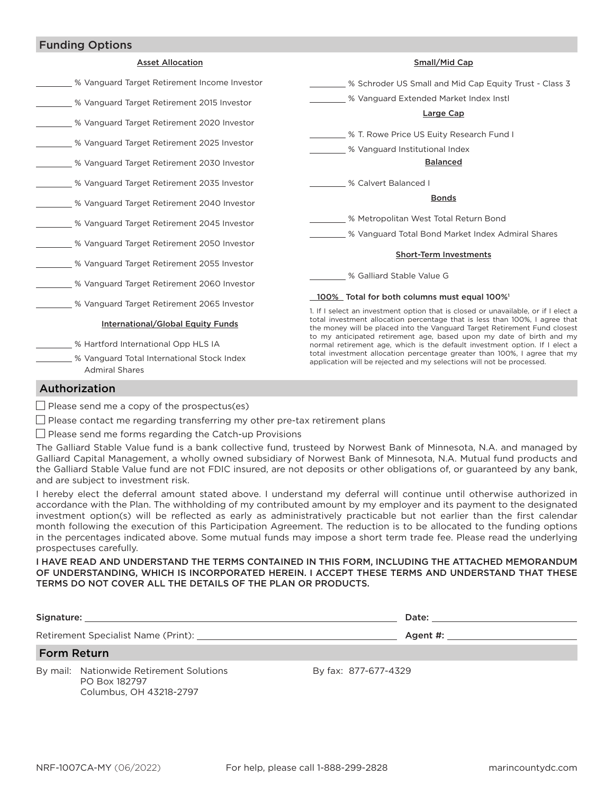## Funding Options

| <b>Asset Allocation</b>                                                                  | Small/Mid Cap                                                                                                                                                                                                                                                                                                                                                                                                                                                                                                                                               |  |
|------------------------------------------------------------------------------------------|-------------------------------------------------------------------------------------------------------------------------------------------------------------------------------------------------------------------------------------------------------------------------------------------------------------------------------------------------------------------------------------------------------------------------------------------------------------------------------------------------------------------------------------------------------------|--|
| % Vanguard Target Retirement Income Investor                                             | % Schroder US Small and Mid Cap Equity Trust - Class 3                                                                                                                                                                                                                                                                                                                                                                                                                                                                                                      |  |
| % Vanguard Target Retirement 2015 Investor                                               | % Vanguard Extended Market Index Instl                                                                                                                                                                                                                                                                                                                                                                                                                                                                                                                      |  |
| % Vanguard Target Retirement 2020 Investor<br>% Vanguard Target Retirement 2025 Investor | Large Cap<br>% T. Rowe Price US Euity Research Fund I<br>% Vanguard Institutional Index<br><b>Balanced</b>                                                                                                                                                                                                                                                                                                                                                                                                                                                  |  |
| % Vanguard Target Retirement 2030 Investor                                               |                                                                                                                                                                                                                                                                                                                                                                                                                                                                                                                                                             |  |
| S Vanguard Target Retirement 2035 Investor                                               | % Calvert Balanced I                                                                                                                                                                                                                                                                                                                                                                                                                                                                                                                                        |  |
| % Vanguard Target Retirement 2040 Investor                                               | <b>Bonds</b>                                                                                                                                                                                                                                                                                                                                                                                                                                                                                                                                                |  |
| % Vanguard Target Retirement 2045 Investor                                               | % Metropolitan West Total Return Bond                                                                                                                                                                                                                                                                                                                                                                                                                                                                                                                       |  |
| % Vanguard Target Retirement 2050 Investor                                               | % Vanguard Total Bond Market Index Admiral Shares                                                                                                                                                                                                                                                                                                                                                                                                                                                                                                           |  |
| % Vanguard Target Retirement 2055 Investor                                               | <b>Short-Term Investments</b>                                                                                                                                                                                                                                                                                                                                                                                                                                                                                                                               |  |
| % Vanguard Target Retirement 2060 Investor                                               | % Galliard Stable Value G                                                                                                                                                                                                                                                                                                                                                                                                                                                                                                                                   |  |
| % Vanguard Target Retirement 2065 Investor                                               | 100% Total for both columns must equal 100% <sup>1</sup>                                                                                                                                                                                                                                                                                                                                                                                                                                                                                                    |  |
| <b>International/Global Equity Funds</b>                                                 | 1. If I select an investment option that is closed or unavailable, or if I elect a<br>total investment allocation percentage that is less than 100%. I agree that<br>the money will be placed into the Vanguard Target Retirement Fund closest<br>to my anticipated retirement age, based upon my date of birth and my<br>normal retirement age, which is the default investment option. If I elect a<br>total investment allocation percentage greater than 100%, I agree that my<br>application will be rejected and my selections will not be processed. |  |
| % Hartford International Opp HLS IA                                                      |                                                                                                                                                                                                                                                                                                                                                                                                                                                                                                                                                             |  |
| % Vanguard Total International Stock Index<br><b>Admiral Shares</b>                      |                                                                                                                                                                                                                                                                                                                                                                                                                                                                                                                                                             |  |

## Authorization

 $\Box$  Please send me a copy of the prospectus(es)

 $\Box$  Please contact me regarding transferring my other pre-tax retirement plans

 $\Box$  Please send me forms regarding the Catch-up Provisions

The Galliard Stable Value fund is a bank collective fund, trusteed by Norwest Bank of Minnesota, N.A. and managed by Galliard Capital Management, a wholly owned subsidiary of Norwest Bank of Minnesota, N.A. Mutual fund products and the Galliard Stable Value fund are not FDIC insured, are not deposits or other obligations of, or guaranteed by any bank, and are subject to investment risk.

I hereby elect the deferral amount stated above. I understand my deferral will continue until otherwise authorized in accordance with the Plan. The withholding of my contributed amount by my employer and its payment to the designated investment option(s) will be reflected as early as administratively practicable but not earlier than the first calendar month following the execution of this Participation Agreement. The reduction is to be allocated to the funding options in the percentages indicated above. Some mutual funds may impose a short term trade fee. Please read the underlying prospectuses carefully.

### I HAVE READ AND UNDERSTAND THE TERMS CONTAINED IN THIS FORM, INCLUDING THE ATTACHED MEMORANDUM OF UNDERSTANDING, WHICH IS INCORPORATED HEREIN. I ACCEPT THESE TERMS AND UNDERSTAND THAT THESE TERMS DO NOT COVER ALL THE DETAILS OF THE PLAN OR PRODUCTS.

| Signature:                                     | Date:                |
|------------------------------------------------|----------------------|
| Retirement Specialist Name (Print): __________ | Agent #:             |
| <b>Form Return</b>                             |                      |
| By mail: Nationwide Retirement Solutions       | By fax: 877-677-4329 |

 PO Box 182797 Columbus, OH 43218-2797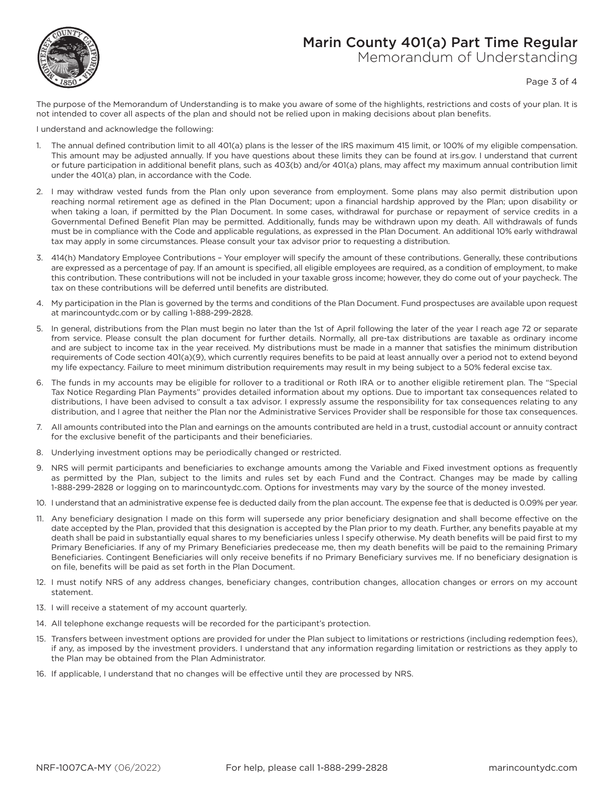# Marin County 401(a) Part Time Regular



## Memorandum of Understanding

Page 3 of 4

The purpose of the Memorandum of Understanding is to make you aware of some of the highlights, restrictions and costs of your plan. It is not intended to cover all aspects of the plan and should not be relied upon in making decisions about plan benefits.

I understand and acknowledge the following:

- 1. The annual defined contribution limit to all 401(a) plans is the lesser of the IRS maximum 415 limit, or 100% of my eligible compensation. This amount may be adjusted annually. If you have questions about these limits they can be found at irs.gov. I understand that current or future participation in additional benefit plans, such as 403(b) and/or 401(a) plans, may affect my maximum annual contribution limit under the 401(a) plan, in accordance with the Code.
- 2. I may withdraw vested funds from the Plan only upon severance from employment. Some plans may also permit distribution upon reaching normal retirement age as defined in the Plan Document; upon a financial hardship approved by the Plan; upon disability or when taking a loan, if permitted by the Plan Document. In some cases, withdrawal for purchase or repayment of service credits in a Governmental Defined Benefit Plan may be permitted. Additionally, funds may be withdrawn upon my death. All withdrawals of funds must be in compliance with the Code and applicable regulations, as expressed in the Plan Document. An additional 10% early withdrawal tax may apply in some circumstances. Please consult your tax advisor prior to requesting a distribution.
- 3. 414(h) Mandatory Employee Contributions Your employer will specify the amount of these contributions. Generally, these contributions are expressed as a percentage of pay. If an amount is specified, all eligible employees are required, as a condition of employment, to make this contribution. These contributions will not be included in your taxable gross income; however, they do come out of your paycheck. The tax on these contributions will be deferred until benefits are distributed.
- 4. My participation in the Plan is governed by the terms and conditions of the Plan Document. Fund prospectuses are available upon request at marincountydc.com or by calling 1-888-299-2828.
- 5. In general, distributions from the Plan must begin no later than the 1st of April following the later of the year I reach age 72 or separate from service. Please consult the plan document for further details. Normally, all pre-tax distributions are taxable as ordinary income and are subject to income tax in the year received. My distributions must be made in a manner that satisfies the minimum distribution requirements of Code section 401(a)(9), which currently requires benefits to be paid at least annually over a period not to extend beyond my life expectancy. Failure to meet minimum distribution requirements may result in my being subject to a 50% federal excise tax.
- 6. The funds in my accounts may be eligible for rollover to a traditional or Roth IRA or to another eligible retirement plan. The "Special Tax Notice Regarding Plan Payments" provides detailed information about my options. Due to important tax consequences related to distributions, I have been advised to consult a tax advisor. I expressly assume the responsibility for tax consequences relating to any distribution, and I agree that neither the Plan nor the Administrative Services Provider shall be responsible for those tax consequences.
- 7. All amounts contributed into the Plan and earnings on the amounts contributed are held in a trust, custodial account or annuity contract for the exclusive benefit of the participants and their beneficiaries.
- 8. Underlying investment options may be periodically changed or restricted.
- 9. NRS will permit participants and beneficiaries to exchange amounts among the Variable and Fixed investment options as frequently as permitted by the Plan, subject to the limits and rules set by each Fund and the Contract. Changes may be made by calling 1-888-299-2828 or logging on to marincountydc.com. Options for investments may vary by the source of the money invested.
- 10. I understand that an administrative expense fee is deducted daily from the plan account. The expense fee that is deducted is 0.09% per year.
- 11. Any beneficiary designation I made on this form will supersede any prior beneficiary designation and shall become effective on the date accepted by the Plan, provided that this designation is accepted by the Plan prior to my death. Further, any benefits payable at my death shall be paid in substantially equal shares to my beneficiaries unless I specify otherwise. My death benefits will be paid first to my Primary Beneficiaries. If any of my Primary Beneficiaries predecease me, then my death benefits will be paid to the remaining Primary Beneficiaries. Contingent Beneficiaries will only receive benefits if no Primary Beneficiary survives me. If no beneficiary designation is on file, benefits will be paid as set forth in the Plan Document.
- 12. I must notify NRS of any address changes, beneficiary changes, contribution changes, allocation changes or errors on my account statement.
- 13. I will receive a statement of my account quarterly.
- 14. All telephone exchange requests will be recorded for the participant's protection.
- 15. Transfers between investment options are provided for under the Plan subject to limitations or restrictions (including redemption fees), if any, as imposed by the investment providers. I understand that any information regarding limitation or restrictions as they apply to the Plan may be obtained from the Plan Administrator.
- 16. If applicable, I understand that no changes will be effective until they are processed by NRS.